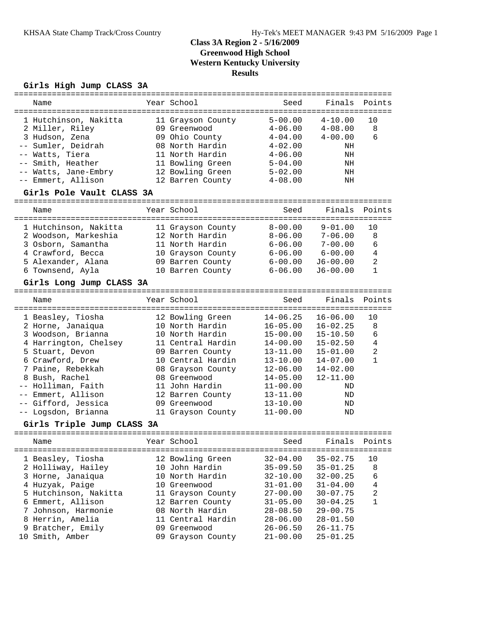# **Class 3A Region 2 - 5/16/2009 Greenwood High School Western Kentucky University Results**

## **Girls High Jump CLASS 3A**

| Name                                                                                                                                                                                                                                                                                     | Year School                                                                                                                                                                                                                          | Seed                                                                                                                                                                                         | Finals                                                                                                                                                       | Points                                                     |
|------------------------------------------------------------------------------------------------------------------------------------------------------------------------------------------------------------------------------------------------------------------------------------------|--------------------------------------------------------------------------------------------------------------------------------------------------------------------------------------------------------------------------------------|----------------------------------------------------------------------------------------------------------------------------------------------------------------------------------------------|--------------------------------------------------------------------------------------------------------------------------------------------------------------|------------------------------------------------------------|
| 1 Hutchinson, Nakitta<br>2 Miller, Riley<br>3 Hudson, Zena<br>-- Sumler, Deidrah<br>-- Watts, Tiera<br>-- Smith, Heather<br>-- Watts, Jane-Embry<br>-- Emmert, Allison<br>Girls Pole Vault CLASS 3A                                                                                      | 11 Grayson County<br>09 Greenwood<br>09 Ohio County<br>08 North Hardin<br>11 North Hardin<br>11 Bowling Green<br>12 Bowling Green<br>12 Barren County                                                                                | $5 - 00.00$<br>$4 - 06.00$<br>$4 - 04.00$<br>$4 - 02.00$<br>$4 - 06.00$<br>$5 - 04.00$<br>$5 - 02.00$<br>$4 - 08.00$                                                                         | $4 - 10.00$<br>$4 - 08.00$<br>$4 - 00.00$<br>ΝH<br>ΝH<br>ΝH<br>NH<br>ΝH                                                                                      | 10<br>8<br>6                                               |
|                                                                                                                                                                                                                                                                                          |                                                                                                                                                                                                                                      |                                                                                                                                                                                              |                                                                                                                                                              |                                                            |
| Name                                                                                                                                                                                                                                                                                     | Year School                                                                                                                                                                                                                          | Seed                                                                                                                                                                                         | Finals                                                                                                                                                       | Points                                                     |
| 1 Hutchinson, Nakitta<br>2 Woodson, Markeshia<br>3 Osborn, Samantha<br>4 Crawford, Becca<br>5 Alexander, Alana<br>6 Townsend, Ayla<br>Girls Long Jump CLASS 3A                                                                                                                           | 11 Grayson County<br>12 North Hardin<br>11 North Hardin<br>10 Grayson County<br>09 Barren County<br>10 Barren County                                                                                                                 | $8 - 00.00$<br>$8 - 06.00$<br>$6 - 06.00$<br>$6 - 06.00$<br>$6 - 00.00$<br>$6 - 06.00$                                                                                                       | $9 - 01.00$<br>$7 - 06.00$<br>$7 - 00.00$<br>$6 - 00.00$<br>$J6 - 00.00$<br>$J6 - 00.00$                                                                     | 10<br>8<br>6<br>4<br>$\overline{2}$<br>$\mathbf{1}$        |
| Name                                                                                                                                                                                                                                                                                     | Year School                                                                                                                                                                                                                          | Seed                                                                                                                                                                                         | Finals                                                                                                                                                       | Points                                                     |
| 1 Beasley, Tiosha<br>2 Horne, Janaiqua<br>3 Woodson, Brianna<br>4 Harrington, Chelsey<br>5 Stuart, Devon<br>6 Crawford, Drew<br>7 Paine, Rebekkah<br>8 Bush, Rachel<br>-- Holliman, Faith<br>Emmert, Allison<br>-- Gifford, Jessica<br>-- Logsdon, Brianna<br>Girls Triple Jump CLASS 3A | 12 Bowling Green<br>10 North Hardin<br>10 North Hardin<br>11 Central Hardin<br>09 Barren County<br>10 Central Hardin<br>08 Grayson County<br>08 Greenwood<br>11 John Hardin<br>12 Barren County<br>09 Greenwood<br>11 Grayson County | $14 - 06.25$<br>$16 - 05.00$<br>$15 - 00.00$<br>$14 - 00.00$<br>$13 - 11.00$<br>$13 - 10.00$<br>$12 - 06.00$<br>$14 - 05.00$<br>$11 - 00.00$<br>$13 - 11.00$<br>$13 - 10.00$<br>$11 - 00.00$ | $16 - 06.00$<br>$16 - 02.25$<br>$15 - 10.50$<br>$15 - 02.50$<br>$15 - 01.00$<br>$14 - 07.00$<br>$14 - 02.00$<br>$12 - 11.00$<br>ND<br>ND<br>ND<br>ND         | ========<br>10<br>$\,8\,$<br>6<br>4<br>$\overline{c}$<br>1 |
|                                                                                                                                                                                                                                                                                          |                                                                                                                                                                                                                                      |                                                                                                                                                                                              |                                                                                                                                                              |                                                            |
| Name                                                                                                                                                                                                                                                                                     | Year School                                                                                                                                                                                                                          | Seed                                                                                                                                                                                         |                                                                                                                                                              | Finals Points                                              |
| 1 Beasley, Tiosha<br>2 Holliway, Hailey<br>3 Horne, Janaiqua<br>4 Huzyak, Paige<br>5 Hutchinson, Nakitta<br>6 Emmert, Allison<br>7 Johnson, Harmonie<br>8 Herrin, Amelia<br>9 Bratcher, Emily<br>10 Smith, Amber                                                                         | 12 Bowling Green<br>10 John Hardin<br>10 North Hardin<br>10 Greenwood<br>11 Grayson County<br>12 Barren County<br>08 North Hardin<br>11 Central Hardin<br>09 Greenwood<br>09 Grayson County                                          | $32 - 04.00$<br>$35 - 09.50$<br>$32 - 10.00$<br>$31 - 01.00$<br>$27 - 00.00$<br>$31 - 05.00$<br>$28 - 08.50$<br>$28 - 06.00$<br>$26 - 06.50$<br>$21 - 00.00$                                 | $35 - 02.75$<br>$35 - 01.25$<br>$32 - 00.25$<br>$31 - 04.00$<br>$30 - 07.75$<br>$30 - 04.25$<br>$29 - 00.75$<br>$28 - 01.50$<br>$26 - 11.75$<br>$25 - 01.25$ | 10<br>8<br>6<br>4<br>$\overline{c}$<br>1                   |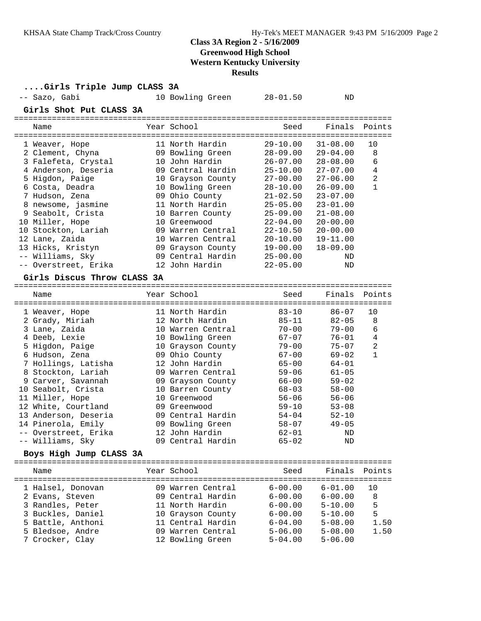# **Class 3A Region 2 - 5/16/2009**

**Greenwood High School**

**Western Kentucky University**

**Results**

| Girls Triple Jump CLASS 3A          |                   |              |              |                |
|-------------------------------------|-------------------|--------------|--------------|----------------|
| -- Sazo, Gabi                       | 10 Bowling Green  | $28 - 01.50$ | ND           |                |
| Girls Shot Put CLASS 3A             |                   |              |              |                |
| Name                                | Year School       | Seed         | Finals       | Points         |
| 1 Weaver, Hope                      | 11 North Hardin   | $29 - 10.00$ | $31 - 08.00$ | 10             |
| 2 Clement, Chyna                    | 09 Bowling Green  | $28 - 09.00$ | $29 - 04.00$ | 8              |
| 3 Falefeta, Crystal                 | 10 John Hardin    | $26 - 07.00$ | $28 - 08.00$ | 6              |
| 4 Anderson, Deseria                 | 09 Central Hardin | $25 - 10.00$ | $27 - 07.00$ | $\overline{4}$ |
| 5 Higdon, Paige                     | 10 Grayson County | $27 - 00.00$ | $27 - 06.00$ | $\overline{2}$ |
| 6 Costa, Deadra                     | 10 Bowling Green  | $28 - 10.00$ | $26 - 09.00$ | $\mathbf{1}$   |
| 7 Hudson, Zena                      | 09 Ohio County    | $21 - 02.50$ | $23 - 07.00$ |                |
| 8 newsome, jasmine                  | 11 North Hardin   | $25 - 05.00$ | $23 - 01.00$ |                |
| 9 Seabolt, Crista                   | 10 Barren County  | $25 - 09.00$ | $21 - 08.00$ |                |
| 10 Miller, Hope                     | 10 Greenwood      | $22 - 04.00$ | $20 - 00.00$ |                |
| 10 Stockton, Lariah                 | 09 Warren Central | $22 - 10.50$ | $20 - 00.00$ |                |
| 12 Lane, Zaida                      | 10 Warren Central | $20 - 10.00$ | $19 - 11.00$ |                |
| 13 Hicks, Kristyn                   | 09 Grayson County | $19 - 00.00$ | $18 - 09.00$ |                |
| -- Williams, Sky                    | 09 Central Hardin | $25 - 00.00$ | ND           |                |
| -- Overstreet, Erika                | 12 John Hardin    | $22 - 05.00$ | ND           |                |
| Girls Discus Throw CLASS 3A         |                   |              |              |                |
|                                     |                   |              |              |                |
| Name                                | Year School       | Seed         | Finals       | Points         |
| 1 Weaver, Hope                      | 11 North Hardin   | $83 - 10$    | $86 - 07$    | 10             |
| 2 Grady, Miriah                     | 12 North Hardin   | $85 - 11$    | $82 - 05$    | 8              |
| 3 Lane, Zaida                       | 10 Warren Central | $70 - 00$    | $79 - 00$    | 6              |
| 4 Deeb, Lexie                       | 10 Bowling Green  | $67 - 07$    | $76 - 01$    | 4              |
| 5 Higdon, Paige                     | 10 Grayson County | $79 - 00$    | $75 - 07$    | 2              |
| 6 Hudson, Zena                      | 09 Ohio County    | $67 - 00$    | $69 - 02$    | $\mathbf{1}$   |
| 7 Hollings, Latisha                 | 12 John Hardin    | $65 - 00$    | 64-01        |                |
| 8 Stockton, Lariah                  | 09 Warren Central | $59 - 06$    | $61 - 05$    |                |
| 9 Carver, Savannah                  | 09 Grayson County | 66-00        | $59 - 02$    |                |
| 10 Seabolt, Crista                  | 10 Barren County  | $68 - 03$    | $58 - 00$    |                |
| 11 Miller, Hope                     | 10 Greenwood      | $56 - 06$    | $56 - 06$    |                |
| 12 White, Courtland                 | 09 Greenwood      | $59 - 10$    | $53 - 08$    |                |
| 13 Anderson, Deseria                | 09 Central Hardin | $54 - 04$    | $52 - 10$    |                |
| 14 Pinerola, Emily                  | 09 Bowling Green  | $58 - 07$    | $49 - 05$    |                |
| -- Overstreet, Erika                | 12 John Hardin    | $62 - 01$    | ND           |                |
| -- Williams, Sky                    | 09 Central Hardin | $65 - 02$    | ΝD           |                |
| Boys High Jump CLASS 3A             |                   |              |              |                |
| Name                                | Year School       | Seed         | Finals       | Points         |
|                                     |                   |              |              |                |
| 1 Halsel, Donovan                   | 09 Warren Central | $6 - 00.00$  | $6 - 01.00$  | 10             |
| 2 Evans, Steven                     | 09 Central Hardin | $6 - 00.00$  | $6 - 00.00$  | 8              |
| 3 Randles, Peter                    | 11 North Hardin   | $6 - 00.00$  | $5 - 10.00$  | 5              |
| 3 Buckles, Daniel                   | 10 Grayson County | $6 - 00.00$  | $5 - 10.00$  | 5              |
|                                     |                   |              |              |                |
| 5 Battle, Anthoni                   | 11 Central Hardin | $6 - 04.00$  | $5 - 08.00$  | 1.50           |
| 5 Bledsoe, Andre<br>7 Crocker, Clay | 09 Warren Central | $5 - 06.00$  | $5 - 08.00$  | 1.50           |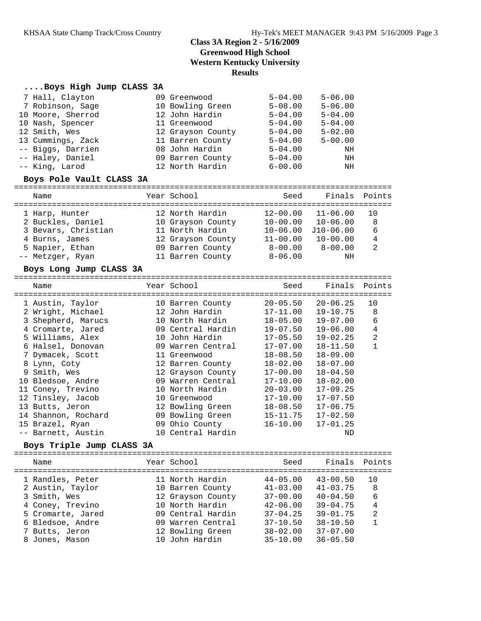# **Class 3A Region 2 - 5/16/2009 Greenwood High School Western Kentucky University Results**

### **....Boys High Jump CLASS 3A**

| 7 Hall, Clayton          | 09 Greenwood      | $5 - 04.00$ | $5 - 06.00$ |
|--------------------------|-------------------|-------------|-------------|
| 7 Robinson, Sage         | 10 Bowling Green  | $5 - 08.00$ | $5 - 06.00$ |
| 10 Moore, Sherrod        | 12 John Hardin    | $5 - 04.00$ | $5 - 04.00$ |
| 10 Nash, Spencer         | 11 Greenwood      | $5 - 04.00$ | $5 - 04.00$ |
| 12 Smith, Wes            | 12 Grayson County | $5 - 04.00$ | $5 - 02.00$ |
| 13 Cummings, Zack        | 11 Barren County  | $5 - 04.00$ | $5 - 00.00$ |
| -- Biggs, Darrien        | 08 John Hardin    | $5 - 04.00$ | ΝH          |
| -- Haley, Daniel         | 09 Barren County  | $5 - 04.00$ | ΝH          |
| -- King, Larod           | 12 North Hardin   | $6 - 00.00$ | ΝH          |
| Boys Pole Vault CLASS 3A |                   |             |             |

| Name                | Year School       | Seed         | Finals Points |               |
|---------------------|-------------------|--------------|---------------|---------------|
| 1 Harp, Hunter      | 12 North Hardin   | $12 - 00.00$ | $11 - 06.00$  | 10            |
| 2 Buckles, Daniel   | 10 Grayson County | $10 - 00.00$ | $10 - 06.00$  | 8             |
| 3 Bevars, Christian | 11 North Hardin   | $10 - 06.00$ | $J10-06.00$   | 6             |
| 4 Burns, James      | 12 Grayson County | $11 - 00.00$ | $10 - 00.00$  | 4             |
| 5 Napier, Ethan     | 09 Barren County  | $8 - 00.00$  | $8 - 00.00$   | $\mathcal{L}$ |
| -- Metzger, Ryan    | 11 Barren County  | $8 - 06.00$  | ΝH            |               |

#### **Boys Long Jump CLASS 3A**

| Name                | Year School<br>=================================== | Seed         | Finals Points |                |
|---------------------|----------------------------------------------------|--------------|---------------|----------------|
| 1 Austin, Taylor    | 10 Barren County                                   | $20 - 05.50$ | $20 - 06.25$  | 10             |
| 2 Wright, Michael   | 12 John Hardin                                     | 17-11.00     | $19 - 10.75$  | 8              |
| 3 Shepherd, Marucs  | 10 North Hardin                                    | 18-05.00     | $19 - 07.00$  | 6              |
| 4 Cromarte, Jared   | 09 Central Hardin                                  | 19-07.50     | $19 - 06.00$  | 4              |
| 5 Williams, Alex    | 10 John Hardin                                     | $17 - 05.50$ | $19 - 02.25$  | $\overline{2}$ |
| 6 Halsel, Donovan   | 09 Warren Central                                  | $17 - 07.00$ | $18 - 11.50$  |                |
| 7 Dymacek, Scott    | 11 Greenwood                                       | $18 - 08.50$ | $18 - 09.00$  |                |
| 8 Lynn, Coty        | 12 Barren County                                   | $18 - 02.00$ | $18 - 07.00$  |                |
| 9 Smith, Wes        | 12 Grayson County                                  | $17 - 00.00$ | $18 - 04.50$  |                |
| 10 Bledsoe, Andre   | 09 Warren Central                                  | $17 - 10.00$ | $18 - 02.00$  |                |
| 11 Coney, Trevino   | 10 North Hardin                                    | $20 - 03.00$ | $17 - 09.25$  |                |
| 12 Tinsley, Jacob   | 10 Greenwood                                       | $17 - 10.00$ | $17 - 07.50$  |                |
| 13 Butts, Jeron     | 12 Bowling Green                                   | $18 - 08.50$ | $17 - 06.75$  |                |
| 14 Shannon, Rochard | 09 Bowling Green                                   | $15 - 11.75$ | $17 - 02.50$  |                |
| 15 Brazel, Ryan     | 09 Ohio County                                     | $16 - 10.00$ | $17 - 01.25$  |                |
| -- Barnett, Austin  | 10 Central Hardin                                  |              | ND            |                |
|                     |                                                    |              |               |                |

## **Boys Triple Jump CLASS 3A**

| Name              | Year School       | Seed         | Finals Points |                |
|-------------------|-------------------|--------------|---------------|----------------|
| 1 Randles, Peter  | 11 North Hardin   | $44 - 05.00$ | $43 - 00.50$  | 10             |
| 2 Austin, Taylor  | 10 Barren County  | $41 - 03.00$ | $41 - 03.75$  | 8              |
| 3 Smith, Wes      | 12 Grayson County | $37 - 00.00$ | $40 - 04.50$  | 6              |
| 4 Coney, Trevino  | 10 North Hardin   | $42 - 06.00$ | $39 - 04.75$  | 4              |
| 5 Cromarte, Jared | 09 Central Hardin | $37 - 04.25$ | $39 - 01.75$  | $\overline{2}$ |
| 6 Bledsoe, Andre  | 09 Warren Central | $37 - 10.50$ | $38 - 10.50$  | 1              |
| 7 Butts, Jeron    | 12 Bowling Green  | $38 - 02.00$ | $37 - 07.00$  |                |
| 8 Jones, Mason    | 10 John Hardin    | $35 - 10.00$ | $36 - 05.50$  |                |
|                   |                   |              |               |                |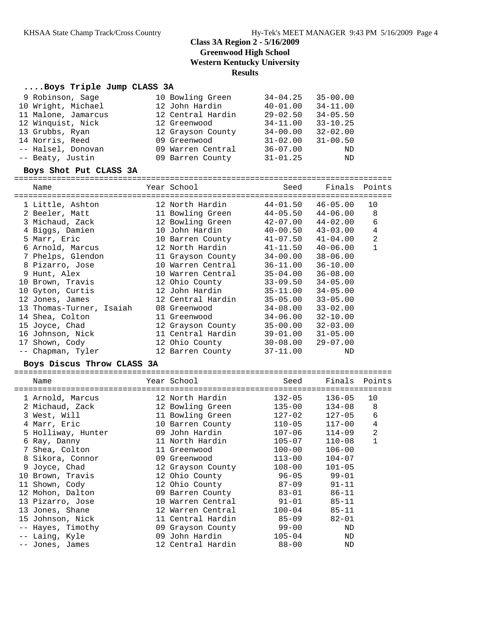# **Class 3A Region 2 - 5/16/2009 Greenwood High School Western Kentucky University Results**

### **....Boys Triple Jump CLASS 3A**

| 9 Robinson, Sage    | 10 Bowling Green  | $34 - 04.25$<br>$35 - 00.00$ |
|---------------------|-------------------|------------------------------|
| 10 Wright, Michael  | 12 John Hardin    | $34 - 11.00$<br>$40 - 01.00$ |
| 11 Malone, Jamarcus | 12 Central Hardin | $29 - 02.50$<br>$34 - 05.50$ |
| 12 Winquist, Nick   | 12 Greenwood      | $33 - 10.25$<br>$34 - 11.00$ |
| 13 Grubbs, Ryan     | 12 Grayson County | $32 - 02.00$<br>$34 - 00.00$ |
| 14 Norris, Reed     | 09 Greenwood      | $31 - 00.50$<br>$31 - 02.00$ |
| -- Halsel, Donovan  | 09 Warren Central | $36 - 07.00$<br>ND           |
| -- Beaty, Justin    | 09 Barren County  | $31 - 01.25$<br>ND           |
|                     |                   |                              |

#### **Boys Shot Put CLASS 3A**

| Name |                                                                                                                                                                                                                                       |                                                                                                                    |                                  |                                                                                                                                                                                                                                                                                                                                                                     |                                                                                                                                                                                        |
|------|---------------------------------------------------------------------------------------------------------------------------------------------------------------------------------------------------------------------------------------|--------------------------------------------------------------------------------------------------------------------|----------------------------------|---------------------------------------------------------------------------------------------------------------------------------------------------------------------------------------------------------------------------------------------------------------------------------------------------------------------------------------------------------------------|----------------------------------------------------------------------------------------------------------------------------------------------------------------------------------------|
|      |                                                                                                                                                                                                                                       |                                                                                                                    |                                  |                                                                                                                                                                                                                                                                                                                                                                     | 10                                                                                                                                                                                     |
|      |                                                                                                                                                                                                                                       |                                                                                                                    |                                  |                                                                                                                                                                                                                                                                                                                                                                     | 8                                                                                                                                                                                      |
|      |                                                                                                                                                                                                                                       |                                                                                                                    |                                  |                                                                                                                                                                                                                                                                                                                                                                     | 6                                                                                                                                                                                      |
|      |                                                                                                                                                                                                                                       |                                                                                                                    |                                  |                                                                                                                                                                                                                                                                                                                                                                     | $\overline{4}$                                                                                                                                                                         |
|      |                                                                                                                                                                                                                                       |                                                                                                                    |                                  |                                                                                                                                                                                                                                                                                                                                                                     | $\overline{2}$                                                                                                                                                                         |
|      |                                                                                                                                                                                                                                       |                                                                                                                    | $41 - 11.50$                     | $40 - 06.00$                                                                                                                                                                                                                                                                                                                                                        | $\mathbf{1}$                                                                                                                                                                           |
|      |                                                                                                                                                                                                                                       |                                                                                                                    | 34-00.00                         | $38 - 06.00$                                                                                                                                                                                                                                                                                                                                                        |                                                                                                                                                                                        |
|      |                                                                                                                                                                                                                                       |                                                                                                                    | $36 - 11.00$                     | $36 - 10.00$                                                                                                                                                                                                                                                                                                                                                        |                                                                                                                                                                                        |
|      |                                                                                                                                                                                                                                       |                                                                                                                    | 35-04.00                         | $36 - 08.00$                                                                                                                                                                                                                                                                                                                                                        |                                                                                                                                                                                        |
|      |                                                                                                                                                                                                                                       |                                                                                                                    | 33-09.50                         | $34 - 05.00$                                                                                                                                                                                                                                                                                                                                                        |                                                                                                                                                                                        |
|      |                                                                                                                                                                                                                                       |                                                                                                                    | $35 - 11.00$                     | $34 - 05.00$                                                                                                                                                                                                                                                                                                                                                        |                                                                                                                                                                                        |
|      |                                                                                                                                                                                                                                       |                                                                                                                    | $35 - 05.00$                     | $33 - 05.00$                                                                                                                                                                                                                                                                                                                                                        |                                                                                                                                                                                        |
|      |                                                                                                                                                                                                                                       |                                                                                                                    | 34-08.00                         | $33 - 02.00$                                                                                                                                                                                                                                                                                                                                                        |                                                                                                                                                                                        |
|      |                                                                                                                                                                                                                                       |                                                                                                                    | 34-06.00                         | $32 - 10.00$                                                                                                                                                                                                                                                                                                                                                        |                                                                                                                                                                                        |
|      |                                                                                                                                                                                                                                       |                                                                                                                    | 35-00.00                         | $32 - 03.00$                                                                                                                                                                                                                                                                                                                                                        |                                                                                                                                                                                        |
|      |                                                                                                                                                                                                                                       |                                                                                                                    |                                  | $31 - 05.00$                                                                                                                                                                                                                                                                                                                                                        |                                                                                                                                                                                        |
|      |                                                                                                                                                                                                                                       |                                                                                                                    | $30 - 08.00$                     | $29 - 07.00$                                                                                                                                                                                                                                                                                                                                                        |                                                                                                                                                                                        |
|      |                                                                                                                                                                                                                                       |                                                                                                                    | $37 - 11.00$                     | ND                                                                                                                                                                                                                                                                                                                                                                  |                                                                                                                                                                                        |
|      | 3 Michaud, Zack<br>4 Biggs, Damien<br>6 Arnold, Marcus<br>7 Phelps, Glendon<br>8 Pizarro, Jose<br>10 Gyton, Curtis<br>12 Jones, James<br>14 Shea, Colton<br>15 Joyce, Chad<br>16 Johnson, Nick<br>17 Shown, Cody<br>-- Chapman, Tyler | 1 Little, Ashton<br>2 Beeler, Matt<br>5 Marr, Eric<br>9 Hunt, Alex<br>10 Brown, Travis<br>13 Thomas-Turner, Isaiah | Year School States and the Maria | ---------------------------<br>12 North Hardin<br>11 Bowling Green<br>12 Bowling Green<br>10 John Hardin<br>12 North Hardin<br>11 Grayson County<br>10 Warren Central<br>10 Warren Central<br>12 Ohio County<br>12 John Hardin<br>12 Central Hardin<br>08 Greenwood<br>11 Greenwood<br>12 Grayson County<br>11 Central Hardin<br>12 Ohio County<br>12 Barren County | Seed<br>Finals Points<br>44-01.50<br>46-05.00<br>44-05.50<br>44-06.00<br>42-07.00<br>44-02.00<br>$40 - 00.50$<br>$43 - 03.00$<br>10 Barren County 41-07.50<br>$41 - 04.00$<br>39-01.00 |

#### **Boys Discus Throw CLASS 3A**

|   | Name               | Year School       | Seed<br>-------- | Finals     | Points |
|---|--------------------|-------------------|------------------|------------|--------|
|   | 1 Arnold, Marcus   | 12 North Hardin   | $132 - 05$       | $136 - 05$ | 10     |
|   | 2 Michaud, Zack    | 12 Bowling Green  | $135 - 00$       | $134 - 08$ | 8      |
|   | 3 West, Will       | 11 Bowling Green  | 127-02           | $127 - 05$ | 6      |
|   | 4 Marr, Eric       | 10 Barren County  | $110 - 05$       | $117 - 00$ | 4      |
|   | 5 Holliway, Hunter | 09 John Hardin    | $107 - 06$       | $114 - 09$ | 2      |
|   | 6 Ray, Danny       | 11 North Hardin   | $105 - 07$       | $110 - 08$ |        |
|   | Shea, Colton       | 11 Greenwood      | $100 - 00$       | $106 - 00$ |        |
|   | 8 Sikora, Connor   | 09 Greenwood      | $113 - 00$       | $104 - 07$ |        |
| 9 | Joyce, Chad        | 12 Grayson County | $108 - 00$       | $101 - 05$ |        |
|   | 10 Brown, Travis   | 12 Ohio County    | $96 - 05$        | $99 - 01$  |        |
|   | 11 Shown, Cody     | 12 Ohio County    | 87-09            | $91 - 11$  |        |
|   | 12 Mohon, Dalton   | 09 Barren County  | 83-01            | $86 - 11$  |        |
|   | 13 Pizarro, Jose   | 10 Warren Central | $91 - 01$        | $85 - 11$  |        |
|   | 13 Jones, Shane    | 12 Warren Central | $100 - 04$       | $85 - 11$  |        |
|   | 15 Johnson, Nick   | 11 Central Hardin | $85 - 09$        | $82 - 01$  |        |
|   | -- Hayes, Timothy  | 09 Grayson County | 99-00            | ND         |        |
|   | -- Laing, Kyle     | 09 John Hardin    | $105 - 04$       | ND         |        |
|   | -- Jones, James    | 12 Central Hardin | $88 - 00$        | ND         |        |
|   |                    |                   |                  |            |        |